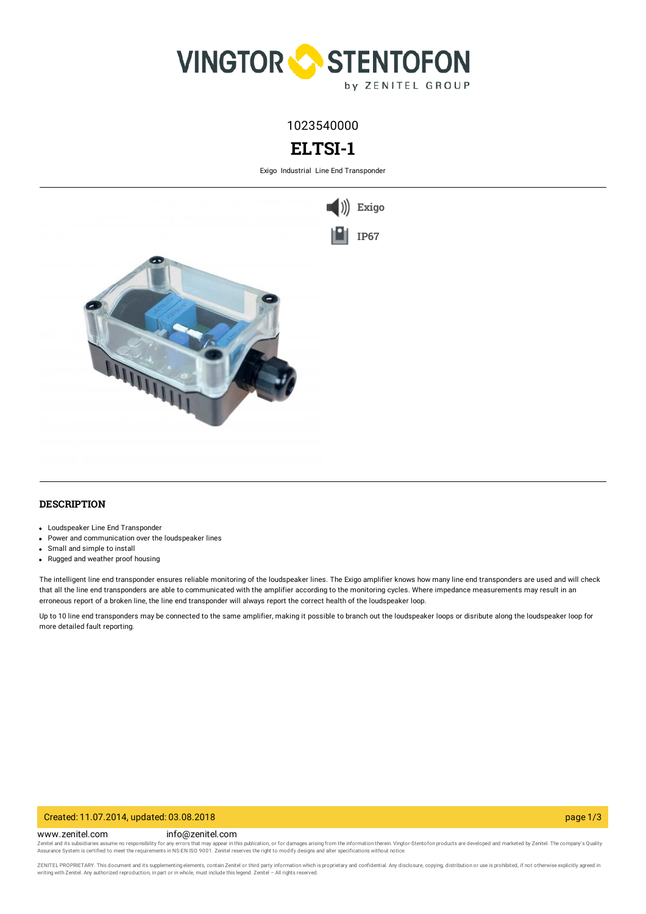

1023540000

# **ELTSI-1**

Exigo Industrial Line End Transponder



### **DESCRIPTION**

- Loudspeaker Line End Transponder
- Power and communication over the loudspeaker lines
- Small and simple to install
- Rugged and weather proof housing

The intelligent line end transponder ensures reliable monitoring of the loudspeaker lines. The Exigo amplifier knows how many line end transponders are used and will check that all the line end transponders are able to communicated with the amplifier according to the monitoring cycles. Where impedance measurements may result in an erroneous report of a broken line, the line end transponder will always report the correct health of the loudspeaker loop.

Up to 10 line end transponders may be connected to the same amplifier, making it possible to branch out the loudspeaker loops or disribute along the loudspeaker loop for more detailed fault reporting.

#### Created: 11.07.2014, updated: 03.08.2018 page 1/3

www.zenitel.com info@zenitel.com

Zenitel and its subsidiaries assume no responsibility for any errors that may appear in this publication, or for damages arising from the information therein. Vingtor-Stentofon products are developed and marketed by Zenite

ZENITEL PROPRIETARY. This document and its supplementing elements, contain Zenitel or third party information which is proprietary and confidential. Any disclosure, copying, distribution or use is prohibited, if not otherw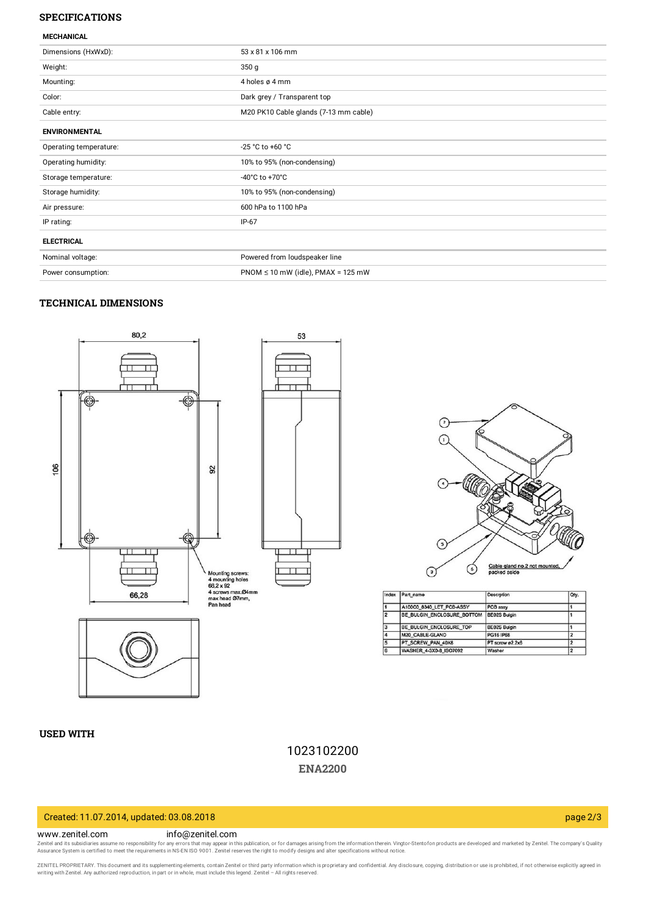### **SPECIFICATIONS**

| <b>MECHANICAL</b>                        |  |  |  |
|------------------------------------------|--|--|--|
| 53 x 81 x 106 mm                         |  |  |  |
| 350 <sub>g</sub>                         |  |  |  |
| 4 holes ø 4 mm                           |  |  |  |
| Dark grey / Transparent top              |  |  |  |
| M20 PK10 Cable glands (7-13 mm cable)    |  |  |  |
|                                          |  |  |  |
| -25 °C to +60 °C                         |  |  |  |
| 10% to 95% (non-condensing)              |  |  |  |
| $-40^{\circ}$ C to $+70^{\circ}$ C       |  |  |  |
| 10% to 95% (non-condensing)              |  |  |  |
| 600 hPa to 1100 hPa                      |  |  |  |
| $IP-67$                                  |  |  |  |
|                                          |  |  |  |
| Powered from loudspeaker line            |  |  |  |
| $PNOM \le 10$ mW (idle), $PMAX = 125$ mW |  |  |  |
|                                          |  |  |  |

## **TECHNICAL DIMENSIONS**



 $\odot$ ⋒  $\odot$ Cable gland no.2 not mounted จ  $\odot$ 

| ndex | Part name                  | Descrption       | Oty. |
|------|----------------------------|------------------|------|
|      | A100C0 8340 LET PCB-ASSY   | PCB assy         |      |
|      | BE BULGIN ENCLOSURE BOTTOM | BE02S Bulgin     |      |
|      | BE BULGIN ENCLOSURE TOP    | BE02S Bulgin     |      |
|      | M20_CABLE-GLAND            | <b>PG16 IP68</b> |      |
|      | PT SCREW PAN 40X8          | PT screw ø2.2x6  |      |
|      | WASHER 4-3X0-8 ISO7092     | Washer           |      |
|      |                            |                  |      |

### **USED WITH**

1023102200 **[ENA2200](https://www.zenitel.com/product/ena2200)**

## Created: 11.07.2014, updated: 03.08.2018 page 2/3

#### www.zenitel.com info@zenitel.com

Zenitel and its subsidiaries assume no responsibility for any errors that may appear in this publication, or for damages arising from the information therein. Vingtor-Stentofon products are developed and marketed by Zenite

ZENITEL PROPRIETARY. This document and its supplementing elements, contain Zenitel or third party information which is proprietary and confidential. Any disclosure, copying, distribution or use is prohibited, if not otherw